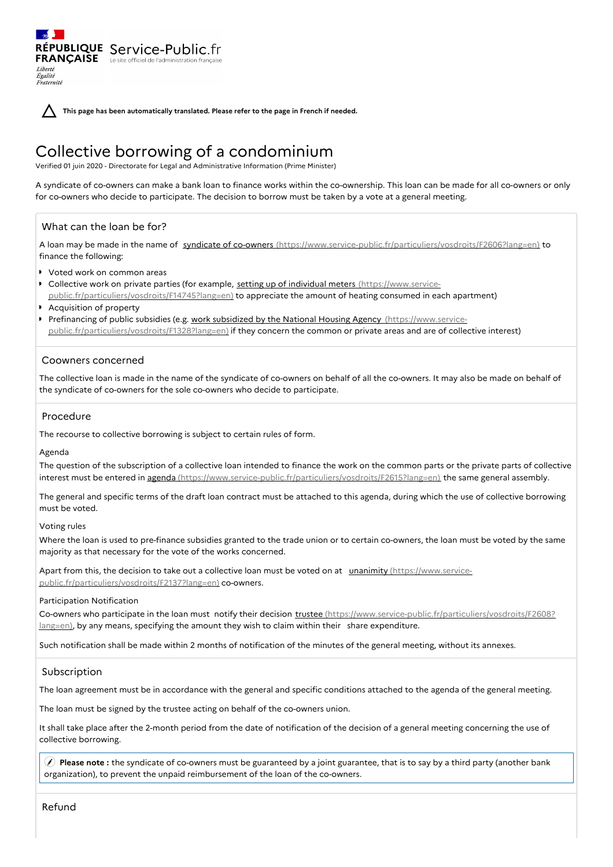**This page has been automatically translated. Please refer to the page in French if needed.**

# Collective borrowing of a condominium

Verified 01 juin 2020 - Directorate for Legal and Administrative Information (Prime Minister)

A syndicate of co-owners can make a bank loan to finance works within the co-ownership. This loan can be made for all co-owners or only for co-owners who decide to participate. The decision to borrow must be taken by a vote at a general meeting.

# What can the loan be for?

RÉPUBLIQUE Service-Public.fr **FRANÇAISE** Le site officiel de l'administration fran

A loan may be made in the name of syndicate of co-owners [\(https://www.service-public.fr/particuliers/vosdroits/F2606?lang=en\)](https://www.service-public.fr/particuliers/vosdroits/F2606?lang=en) to finance the following:

- Voted work on common areas
- Collective work on private parties (for example, setting up of individual meters (https://www.service[public.fr/particuliers/vosdroits/F14745?lang=en\)](https://www.service-public.fr/particuliers/vosdroits/F14745?lang=en) to appreciate the amount of heating consumed in each apartment)
- Acquisition of property
- Prefinancing of public subsidies (e.g. work subsidized by the National Housing Agency (https://www.service[public.fr/particuliers/vosdroits/F1328?lang=en\)](https://www.service-public.fr/particuliers/vosdroits/F1328?lang=en) if they concern the common or private areas and are of collective interest)

## Coowners concerned

The collective loan is made in the name of the syndicate of co-owners on behalf of all the co-owners. It may also be made on behalf of the syndicate of co-owners for the sole co-owners who decide to participate.

#### Procedure

The recourse to collective borrowing is subject to certain rules of form.

#### Agenda

Liberté Égalité Fraternité

The question of the subscription of a collective loan intended to finance the work on the common parts or the private parts of collective interest must be entered in agenda [\(https://www.service-public.fr/particuliers/vosdroits/F2615?lang=en\)](https://www.service-public.fr/particuliers/vosdroits/F2615?lang=en) the same general assembly.

The general and specific terms of the draft loan contract must be attached to this agenda, during which the use of collective borrowing must be voted.

#### Voting rules

Where the loan is used to pre-finance subsidies granted to the trade union or to certain co-owners, the loan must be voted by the same majority as that necessary for the vote of the works concerned.

Apart from this, the decision to take out a collective loan must be voted on at unanimity (https://www.service[public.fr/particuliers/vosdroits/F2137?lang=en\)](https://www.service-public.fr/particuliers/vosdroits/F2137?lang=en) co-owners.

#### Participation Notification

Co-owners who participate in the loan must notify their decision trustee [\(https://www.service-public.fr/particuliers/vosdroits/F2608?](https://www.service-public.fr/particuliers/vosdroits/F2608?lang=en) lang=en), by any means, specifying the amount they wish to claim within their share expenditure.

Such notification shall be made within 2 months of notification of the minutes of the general meeting, without its annexes.

## Subscription

The loan agreement must be in accordance with the general and specific conditions attached to the agenda of the general meeting.

The loan must be signed by the trustee acting on behalf of the co-owners union.

It shall take place after the 2-month period from the date of notification of the decision of a general meeting concerning the use of collective borrowing.

 **Please note :** the syndicate of co-owners must be guaranteed by a joint guarantee, that is to say by a third party (another bank organization), to prevent the unpaid reimbursement of the loan of the co-owners.

Refund